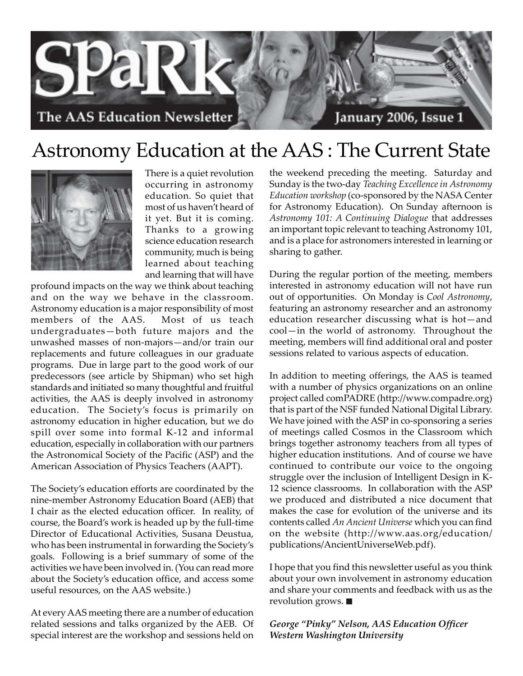

### Astronomy Education at the AAS : The Current State



There is a quiet revolution occurring in astronomy education. So quiet that most of us haven't heard of it yet. But it is coming. Thanks to a growing science education research community, much is being learned about teaching and learning that will have

profound impacts on the way we think about teaching and on the way we behave in the classroom. Astronomy education is a major responsibility of most members of the AAS. Most of us teach undergraduates—both future majors and the unwashed masses of non-majors—and/or train our replacements and future colleagues in our graduate programs. Due in large part to the good work of our predecessors (see article by Shipman) who set high standards and initiated so many thoughtful and fruitful activities, the AAS is deeply involved in astronomy education. The Society's focus is primarily on astronomy education in higher education, but we do spill over some into formal K-12 and informal education, especially in collaboration with our partners the Astronomical Society of the Pacific (ASP) and the American Association of Physics Teachers (AAPT).

The Society's education efforts are coordinated by the nine-member Astronomy Education Board (AEB) that I chair as the elected education officer. In reality, of course, the Board's work is headed up by the full-time Director of Educational Activities, Susana Deustua, who has been instrumental in forwarding the Society's goals. Following is a brief summary of some of the activities we have been involved in. (You can read more about the Society's education office, and access some useful resources, on the AAS website.)

At every AAS meeting there are a number of education related sessions and talks organized by the AEB. Of special interest are the workshop and sessions held on the weekend preceding the meeting. Saturday and Sunday is the two-day *Teaching Excellence in Astronomy Education workshop* (co-sponsored by the NASA Center for Astronomy Education). On Sunday afternoon is *Astronomy 101: A Continuing Dialogue* that addresses an important topic relevant to teaching Astronomy 101, and is a place for astronomers interested in learning or sharing to gather.

During the regular portion of the meeting, members interested in astronomy education will not have run out of opportunities. On Monday is *Cool Astronomy*, featuring an astronomy researcher and an astronomy education researcher discussing what is hot—and cool—in the world of astronomy. Throughout the meeting, members will find additional oral and poster sessions related to various aspects of education.

In addition to meeting offerings, the AAS is teamed with a number of physics organizations on an online project called comPADRE (http://www.compadre.org) that is part of the NSF funded National Digital Library. We have joined with the ASP in co-sponsoring a series of meetings called Cosmos in the Classroom which brings together astronomy teachers from all types of higher education institutions. And of course we have continued to contribute our voice to the ongoing struggle over the inclusion of Intelligent Design in K-12 science classrooms. In collaboration with the ASP we produced and distributed a nice document that makes the case for evolution of the universe and its contents called *An Ancient Universe* which you can find on the website (http://www.aas.org/education/ publications/AncientUniverseWeb.pdf).

I hope that you find this newsletter useful as you think about your own involvement in astronomy education and share your comments and feedback with us as the revolution grows.

#### *George "Pinky" Nelson, AAS Education Officer Western Washington University*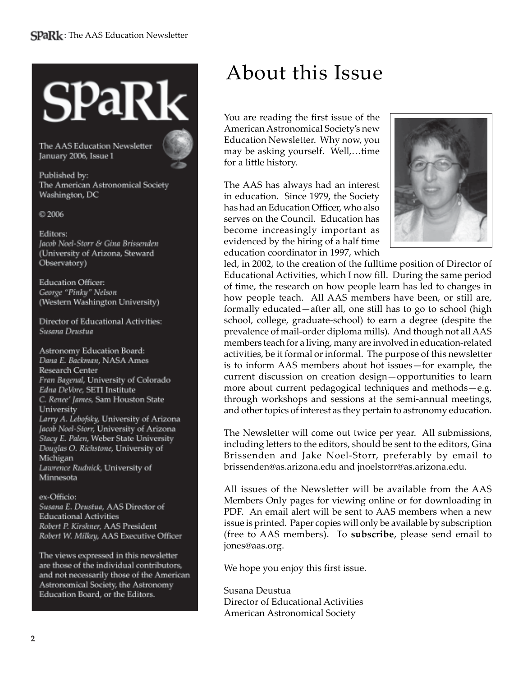# **SPaRk**

The AAS Education Newsletter January 2006, Issue 1

Published by: The American Astronomical Society Washington, DC

© 2006

Editors: Jacob Noel-Storr & Gina Brissenden (University of Arizona, Steward Observatory)

**Education Officer:** George "Pinky" Nelson (Western Washington University)

Director of Educational Activities: Susana Deustua

Astronomy Education Board: Dana E. Backman, NASA Ames Research Center Fran Bagenal, University of Colorado Edna DeVore, SETI Institute C. Renee' James, Sam Houston State University Larry A. Lebofsky, University of Arizona Jacob Noel-Storr, University of Arizona Stacy E. Palen, Weber State University Douglas O. Richstone, University of Michigan Lawrence Rudnick, University of Minnesota

ex-Officio: Susana E. Deustua, AAS Director of **Educational Activities** Robert P. Kirshner, AAS President Robert W. Milkey, AAS Executive Officer

The views expressed in this newsletter are those of the individual contributors, and not necessarily those of the American Astronomical Society, the Astronomy Education Board, or the Editors.

### About this Issue

You are reading the first issue of the American Astronomical Society's new Education Newsletter. Why now, you may be asking yourself. Well,…time for a little history.

The AAS has always had an interest in education. Since 1979, the Society has had an Education Officer, who also serves on the Council. Education has become increasingly important as evidenced by the hiring of a half time education coordinator in 1997, which



led, in 2002, to the creation of the fulltime position of Director of Educational Activities, which I now fill. During the same period of time, the research on how people learn has led to changes in how people teach. All AAS members have been, or still are, formally educated—after all, one still has to go to school (high school, college, graduate-school) to earn a degree (despite the prevalence of mail-order diploma mills). And though not all AAS members teach for a living, many are involved in education-related activities, be it formal or informal. The purpose of this newsletter is to inform AAS members about hot issues—for example, the current discussion on creation design—opportunities to learn more about current pedagogical techniques and methods—e.g. through workshops and sessions at the semi-annual meetings, and other topics of interest as they pertain to astronomy education.

The Newsletter will come out twice per year. All submissions, including letters to the editors, should be sent to the editors, Gina Brissenden and Jake Noel-Storr, preferably by email to brissenden@as.arizona.edu and jnoelstorr@as.arizona.edu.

All issues of the Newsletter will be available from the AAS Members Only pages for viewing online or for downloading in PDF. An email alert will be sent to AAS members when a new issue is printed. Paper copies will only be available by subscription (free to AAS members). To **subscribe**, please send email to jones@aas.org.

We hope you enjoy this first issue.

Susana Deustua Director of Educational Activities American Astronomical Society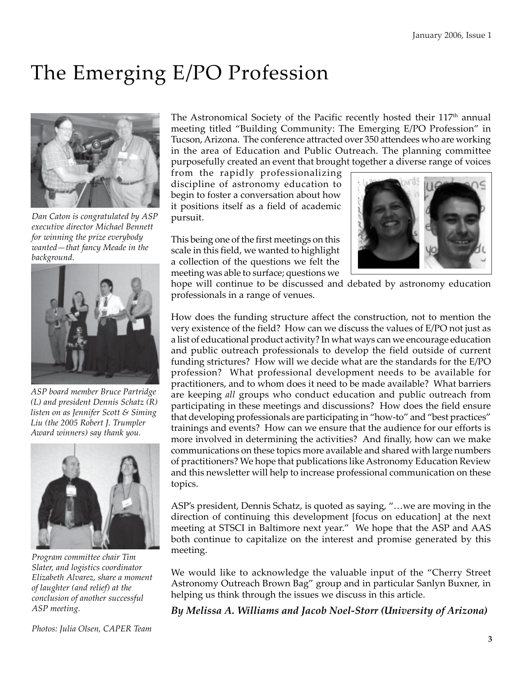### The Emerging E/PO Profession



*Dan Caton is congratulated by ASP executive director Michael Bennett for winning the prize everybody wanted—that fancy Meade in the background.*



*ASP board member Bruce Partridge (L) and president Dennis Schatz (R) listen on as Jennifer Scott & Siming Liu (the 2005 Robert J. Trumpler Award winners) say thank you.*



*Program committee chair Tim Slater, and logistics coordinator Elizabeth Alvarez, share a moment of laughter (and relief) at the conclusion of another successful ASP meeting.*

The Astronomical Society of the Pacific recently hosted their  $117<sup>th</sup>$  annual meeting titled "Building Community: The Emerging E/PO Profession" in Tucson, Arizona. The conference attracted over 350 attendees who are working in the area of Education and Public Outreach. The planning committee purposefully created an event that brought together a diverse range of voices

from the rapidly professionalizing discipline of astronomy education to begin to foster a conversation about how it positions itself as a field of academic pursuit.

This being one of the first meetings on this scale in this field, we wanted to highlight a collection of the questions we felt the meeting was able to surface; questions we



hope will continue to be discussed and debated by astronomy education professionals in a range of venues.

How does the funding structure affect the construction, not to mention the very existence of the field? How can we discuss the values of E/PO not just as a list of educational product activity? In what ways can we encourage education and public outreach professionals to develop the field outside of current funding strictures? How will we decide what are the standards for the E/PO profession? What professional development needs to be available for practitioners, and to whom does it need to be made available? What barriers are keeping *all* groups who conduct education and public outreach from participating in these meetings and discussions? How does the field ensure that developing professionals are participating in "how-to" and "best practices" trainings and events? How can we ensure that the audience for our efforts is more involved in determining the activities? And finally, how can we make communications on these topics more available and shared with large numbers of practitioners? We hope that publications like Astronomy Education Review and this newsletter will help to increase professional communication on these topics.

ASP's president, Dennis Schatz, is quoted as saying, "…we are moving in the direction of continuing this development [focus on education] at the next meeting at STSCI in Baltimore next year." We hope that the ASP and AAS both continue to capitalize on the interest and promise generated by this meeting.

We would like to acknowledge the valuable input of the "Cherry Street Astronomy Outreach Brown Bag" group and in particular Sanlyn Buxner, in helping us think through the issues we discuss in this article.

*By Melissa A. Williams and Jacob Noel-Storr (University of Arizona)*

*Photos: Julia Olsen, CAPER Team*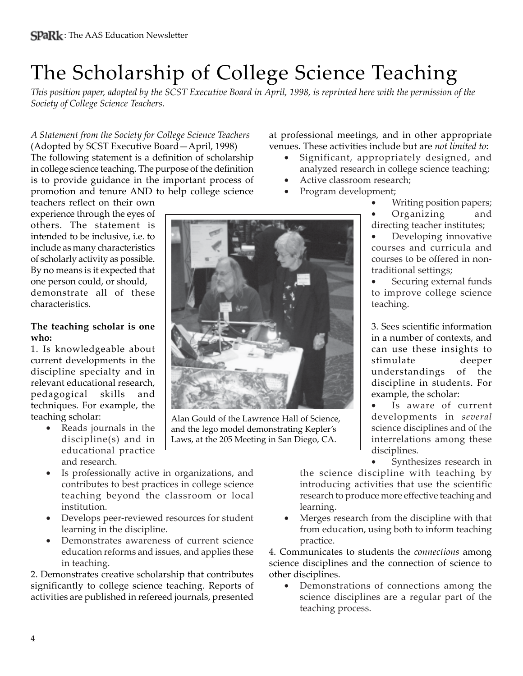### The Scholarship of College Science Teaching

*This position paper, adopted by the SCST Executive Board in April, 1998, is reprinted here with the permission of the Society of College Science Teachers.*

*A Statement from the Society for College Science Teachers* (Adopted by SCST Executive Board—April, 1998) The following statement is a definition of scholarship in college science teaching. The purpose of the definition is to provide guidance in the important process of promotion and tenure AND to help college science

teachers reflect on their own experience through the eyes of others. The statement is intended to be inclusive, i.e. to include as many characteristics of scholarly activity as possible. By no means is it expected that one person could, or should, demonstrate all of these characteristics.

#### **The teaching scholar is one who:**

1. Is knowledgeable about current developments in the discipline specialty and in relevant educational research, pedagogical skills and techniques. For example, the teaching scholar:

- Reads journals in the discipline(s) and in educational practice and research.
- Is professionally active in organizations, and contributes to best practices in college science teaching beyond the classroom or local institution.
- Develops peer-reviewed resources for student learning in the discipline.
- Demonstrates awareness of current science education reforms and issues, and applies these in teaching.

2. Demonstrates creative scholarship that contributes significantly to college science teaching. Reports of activities are published in refereed journals, presented

at professional meetings, and in other appropriate venues. These activities include but are *not limited to*:

- Significant, appropriately designed, and analyzed research in college science teaching;
	- Active classroom research;
	- Program development; • Writing position papers;
- courses and curricula and to improve college science 3. Sees scientific information

Alan Gould of the Lawrence Hall of Science, and the lego model demonstrating Kepler's Laws, at the 205 Meeting in San Diego, CA.

in a number of contexts, and can use these insights to stimulate deeper understandings of the discipline in students. For

• Organizing and directing teacher institutes;

• Developing innovative

Securing external funds

courses to be offered in non-

traditional settings;

teaching.

example, the scholar: Is aware of current developments in *several* science disciplines and of the interrelations among these disciplines.

Synthesizes research in

the science discipline with teaching by introducing activities that use the scientific research to produce more effective teaching and learning.

• Merges research from the discipline with that from education, using both to inform teaching practice.

4. Communicates to students the *connections* among science disciplines and the connection of science to other disciplines.

• Demonstrations of connections among the science disciplines are a regular part of the teaching process.

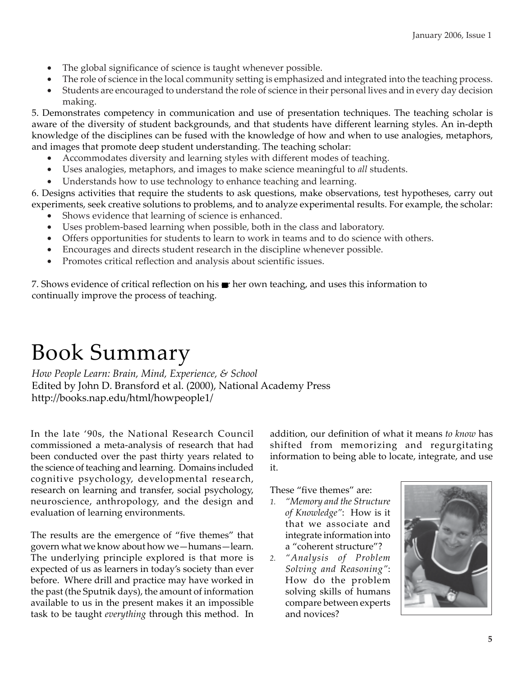- The global significance of science is taught whenever possible.
- The role of science in the local community setting is emphasized and integrated into the teaching process.
- Students are encouraged to understand the role of science in their personal lives and in every day decision making.

5. Demonstrates competency in communication and use of presentation techniques. The teaching scholar is aware of the diversity of student backgrounds, and that students have different learning styles. An in-depth knowledge of the disciplines can be fused with the knowledge of how and when to use analogies, metaphors, and images that promote deep student understanding. The teaching scholar:

- Accommodates diversity and learning styles with different modes of teaching.
- Uses analogies, metaphors, and images to make science meaningful to *all* students.
- Understands how to use technology to enhance teaching and learning.

6. Designs activities that require the students to ask questions, make observations, test hypotheses, carry out experiments, seek creative solutions to problems, and to analyze experimental results. For example, the scholar:

- Shows evidence that learning of science is enhanced.
- Uses problem-based learning when possible, both in the class and laboratory.
- Offers opportunities for students to learn to work in teams and to do science with others.
- Encourages and directs student research in the discipline whenever possible.
- Promotes critical reflection and analysis about scientific issues.

7. Shows evidence of critical reflection on his  $\blacksquare$  her own teaching, and uses this information to continually improve the process of teaching.

## Book Summary

*How People Learn: Brain, Mind, Experience, & School* Edited by John D. Bransford et al. (2000), National Academy Press http://books.nap.edu/html/howpeople1/

In the late '90s, the National Research Council commissioned a meta-analysis of research that had been conducted over the past thirty years related to the science of teaching and learning. Domains included cognitive psychology, developmental research, research on learning and transfer, social psychology, neuroscience, anthropology, and the design and evaluation of learning environments.

The results are the emergence of "five themes" that govern what we know about how we—humans—learn. The underlying principle explored is that more is expected of us as learners in today's society than ever before. Where drill and practice may have worked in the past (the Sputnik days), the amount of information available to us in the present makes it an impossible task to be taught *everything* through this method. In

addition, our definition of what it means *to know* has shifted from memorizing and regurgitating information to being able to locate, integrate, and use it.

These "five themes" are:

- *1. "Memory and the Structure of Knowledge"*: How is it that we associate and integrate information into a "coherent structure"?
- *2. "Analysis of Problem Solving and Reasoning"*: How do the problem solving skills of humans compare between experts and novices?

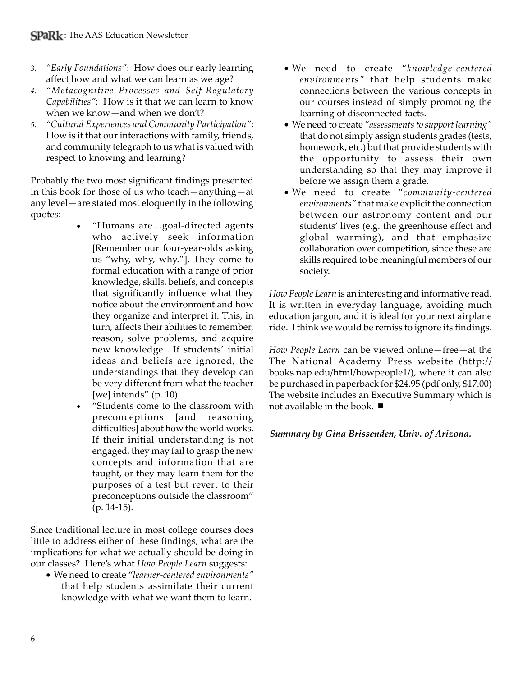- *3. "Early Foundations"*: How does our early learning affect how and what we can learn as we age?
- *4. "Metacognitive Processes and Self-Regulatory Capabilities"*: How is it that we can learn to know when we know—and when we don't?
- *5. "Cultural Experiences and Community Participation"*: How is it that our interactions with family, friends, and community telegraph to us what is valued with respect to knowing and learning?

Probably the two most significant findings presented in this book for those of us who teach—anything—at any level—are stated most eloquently in the following quotes:

- "Humans are…goal-directed agents who actively seek information [Remember our four-year-olds asking us "why, why, why."]. They come to formal education with a range of prior knowledge, skills, beliefs, and concepts that significantly influence what they notice about the environment and how they organize and interpret it. This, in turn, affects their abilities to remember, reason, solve problems, and acquire new knowledge…If students' initial ideas and beliefs are ignored, the understandings that they develop can be very different from what the teacher [we] intends" (p. 10).
- "Students come to the classroom with preconceptions [and reasoning difficulties] about how the world works. If their initial understanding is not engaged, they may fail to grasp the new concepts and information that are taught, or they may learn them for the purposes of a test but revert to their preconceptions outside the classroom" (p. 14-15).

Since traditional lecture in most college courses does little to address either of these findings, what are the implications for what we actually should be doing in our classes? Here's what *How People Learn* suggests:

• We need to create "*learner-centered environments"* that help students assimilate their current knowledge with what we want them to learn.

- We need to create "*knowledge-centered environments"* that help students make connections between the various concepts in our courses instead of simply promoting the learning of disconnected facts.
- We need to create "*assessments to support learning"* that do not simply assign students grades (tests, homework, etc.) but that provide students with the opportunity to assess their own understanding so that they may improve it before we assign them a grade.
- We need to create "*community-centered environments"* that make explicit the connection between our astronomy content and our students' lives (e.g. the greenhouse effect and global warming), and that emphasize collaboration over competition, since these are skills required to be meaningful members of our society.

*How People Learn* is an interesting and informative read. It is written in everyday language, avoiding much education jargon, and it is ideal for your next airplane ride. I think we would be remiss to ignore its findings.

*How People Learn* can be viewed online—free—at the The National Academy Press website (http:// books.nap.edu/html/howpeople1/), where it can also be purchased in paperback for \$24.95 (pdf only, \$17.00) The website includes an Executive Summary which is not available in the book.

#### *Summary by Gina Brissenden, Univ. of Arizona.*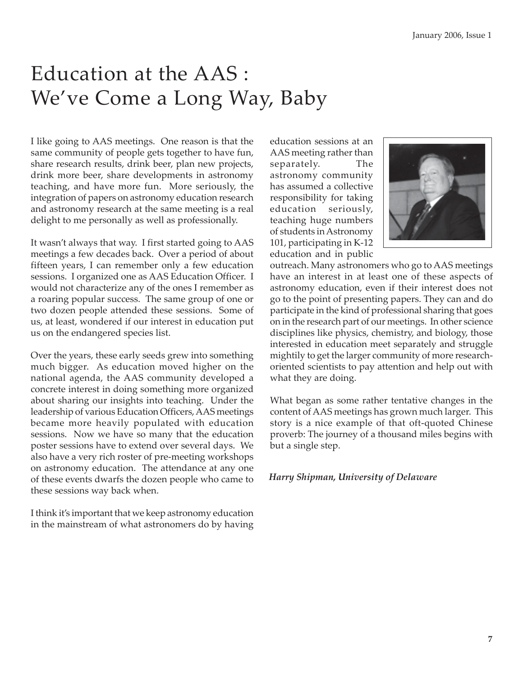### Education at the AAS : We've Come a Long Way, Baby

I like going to AAS meetings. One reason is that the same community of people gets together to have fun, share research results, drink beer, plan new projects, drink more beer, share developments in astronomy teaching, and have more fun. More seriously, the integration of papers on astronomy education research and astronomy research at the same meeting is a real delight to me personally as well as professionally.

It wasn't always that way. I first started going to AAS meetings a few decades back. Over a period of about fifteen years, I can remember only a few education sessions. I organized one as AAS Education Officer. I would not characterize any of the ones I remember as a roaring popular success. The same group of one or two dozen people attended these sessions. Some of us, at least, wondered if our interest in education put us on the endangered species list.

Over the years, these early seeds grew into something much bigger. As education moved higher on the national agenda, the AAS community developed a concrete interest in doing something more organized about sharing our insights into teaching. Under the leadership of various Education Officers, AAS meetings became more heavily populated with education sessions. Now we have so many that the education poster sessions have to extend over several days. We also have a very rich roster of pre-meeting workshops on astronomy education. The attendance at any one of these events dwarfs the dozen people who came to these sessions way back when.

I think it's important that we keep astronomy education in the mainstream of what astronomers do by having education sessions at an AAS meeting rather than separately. The astronomy community has assumed a collective responsibility for taking education seriously, teaching huge numbers of students in Astronomy 101, participating in K-12 education and in public



outreach. Many astronomers who go to AAS meetings have an interest in at least one of these aspects of astronomy education, even if their interest does not go to the point of presenting papers. They can and do participate in the kind of professional sharing that goes on in the research part of our meetings. In other science disciplines like physics, chemistry, and biology, those interested in education meet separately and struggle mightily to get the larger community of more researchoriented scientists to pay attention and help out with what they are doing.

What began as some rather tentative changes in the content of AAS meetings has grown much larger. This story is a nice example of that oft-quoted Chinese proverb: The journey of a thousand miles begins with but a single step.

*Harry Shipman, University of Delaware*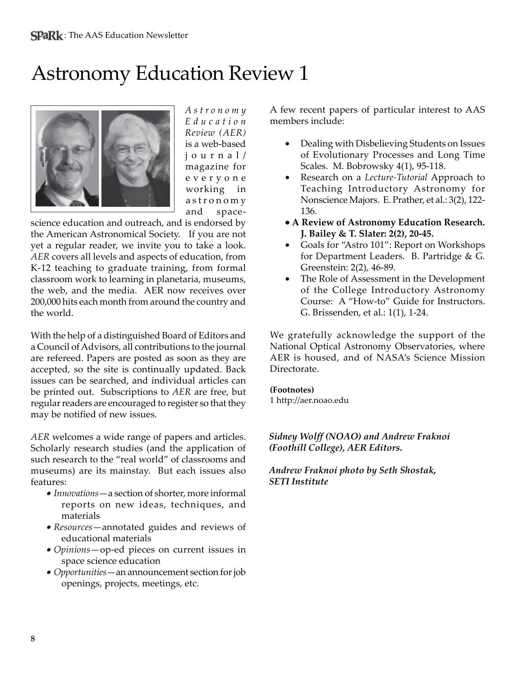### Astronomy Education Review 1



*Astronomy Education Review (AER)* is a web-based journal/ magazine for everyone working in astronomy and space-

science education and outreach, and is endorsed by the American Astronomical Society. If you are not yet a regular reader, we invite you to take a look. *AER* covers all levels and aspects of education, from K-12 teaching to graduate training, from formal classroom work to learning in planetaria, museums, the web, and the media. AER now receives over 200,000 hits each month from around the country and the world.

With the help of a distinguished Board of Editors and a Council of Advisors, all contributions to the journal are refereed. Papers are posted as soon as they are accepted, so the site is continually updated. Back issues can be searched, and individual articles can be printed out. Subscriptions to *AER* are free, but regular readers are encouraged to register so that they may be notified of new issues.

*AER* welcomes a wide range of papers and articles. Scholarly research studies (and the application of such research to the "real world" of classrooms and museums) are its mainstay. But each issues also features:

- *Innovations*—a section of shorter, more informal reports on new ideas, techniques, and materials
- *Resources*—annotated guides and reviews of educational materials
- *Opinions*—op-ed pieces on current issues in space science education
- *Opportunities*—an announcement section for job openings, projects, meetings, etc.

A few recent papers of particular interest to AAS members include:

- Dealing with Disbelieving Students on Issues of Evolutionary Processes and Long Time Scales. M. Bobrowsky 4(1), 95-118.
- Research on a *Lecture-Tutorial* Approach to Teaching Introductory Astronomy for Nonscience Majors. E. Prather, et al.: 3(2), 122- 136.
- **A Review of Astronomy Education Research. J. Bailey & T. Slater: 2(2), 20-45.**
- Goals for "Astro 101": Report on Workshops for Department Leaders. B. Partridge & G. Greenstein: 2(2), 46-89.
- The Role of Assessment in the Development of the College Introductory Astronomy Course: A "How-to" Guide for Instructors. G. Brissenden, et al.: 1(1), 1-24.

We gratefully acknowledge the support of the National Optical Astronomy Observatories, where AER is housed, and of NASA's Science Mission Directorate.

#### **(Footnotes)**

1 http://aer.noao.edu

*Sidney Wolff (NOAO) and Andrew Fraknoi (Foothill College), AER Editors.*

#### *Andrew Fraknoi photo by Seth Shostak, SETI Institute*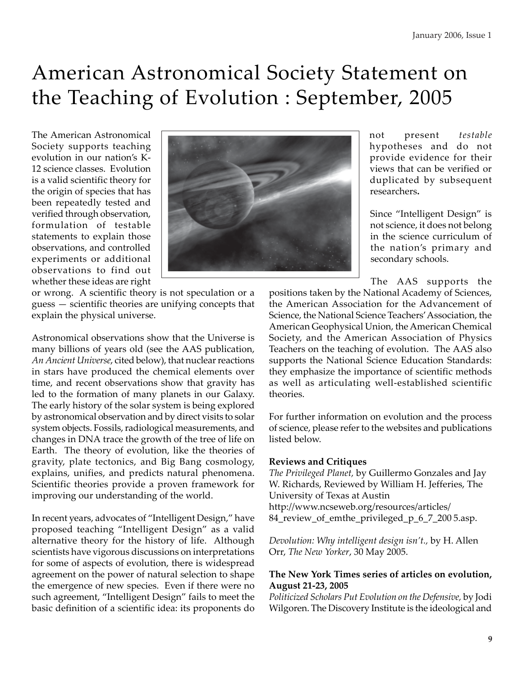### American Astronomical Society Statement on the Teaching of Evolution : September, 2005

The American Astronomical Society supports teaching evolution in our nation's K-12 science classes. Evolution is a valid scientific theory for the origin of species that has been repeatedly tested and verified through observation, formulation of testable statements to explain those observations, and controlled experiments or additional observations to find out whether these ideas are right



not present *testable* hypotheses and do not provide evidence for their views that can be verified or duplicated by subsequent researchers**.**

Since "Intelligent Design" is not science, it does not belong in the science curriculum of the nation's primary and secondary schools.

The AAS supports the

or wrong. A scientific theory is not speculation or a guess — scientific theories are unifying concepts that explain the physical universe.

Astronomical observations show that the Universe is many billions of years old (see the AAS publication, *An Ancient Universe*, cited below), that nuclear reactions in stars have produced the chemical elements over time, and recent observations show that gravity has led to the formation of many planets in our Galaxy. The early history of the solar system is being explored by astronomical observation and by direct visits to solar system objects. Fossils, radiological measurements, and changes in DNA trace the growth of the tree of life on Earth. The theory of evolution, like the theories of gravity, plate tectonics, and Big Bang cosmology, explains, unifies, and predicts natural phenomena. Scientific theories provide a proven framework for improving our understanding of the world.

In recent years, advocates of "Intelligent Design," have proposed teaching "Intelligent Design" as a valid alternative theory for the history of life. Although scientists have vigorous discussions on interpretations for some of aspects of evolution, there is widespread agreement on the power of natural selection to shape the emergence of new species. Even if there were no such agreement, "Intelligent Design" fails to meet the basic definition of a scientific idea: its proponents do

positions taken by the National Academy of Sciences, the American Association for the Advancement of Science, the National Science Teachers' Association, the American Geophysical Union, the American Chemical Society, and the American Association of Physics Teachers on the teaching of evolution. The AAS also supports the National Science Education Standards: they emphasize the importance of scientific methods as well as articulating well-established scientific theories.

For further information on evolution and the process of science, please refer to the websites and publications listed below.

#### **Reviews and Critiques**

*The Privileged Planet,* by Guillermo Gonzales and Jay W. Richards, Reviewed by William H. Jefferies, The University of Texas at Austin http://www.ncseweb.org/resources/articles/ 84\_review\_of\_emthe\_privileged\_p\_6\_7\_200 5.asp.

*Devolution: Why intelligent design isn't.,* by H. Allen Orr, *The New Yorker*, 30 May 2005.

#### **The New York Times series of articles on evolution, August 21-23, 2005**

*Politicized Scholars Put Evolution on the Defensive,* by Jodi Wilgoren. The Discovery Institute is the ideological and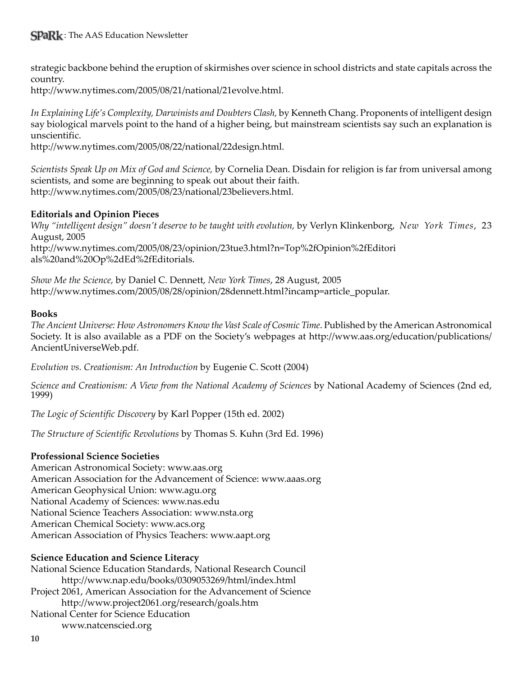strategic backbone behind the eruption of skirmishes over science in school districts and state capitals across the country.

http://www.nytimes.com/2005/08/21/national/21evolve.html.

*In Explaining Life's Complexity, Darwinists and Doubters Clash,* by Kenneth Chang. Proponents of intelligent design say biological marvels point to the hand of a higher being, but mainstream scientists say such an explanation is unscientific.

http://www.nytimes.com/2005/08/22/national/22design.html.

*Scientists Speak Up on Mix of God and Science,* by Cornelia Dean. Disdain for religion is far from universal among scientists, and some are beginning to speak out about their faith. http://www.nytimes.com/2005/08/23/national/23believers.html.

#### **Editorials and Opinion Pieces**

*Why "intelligent design" doesn't deserve to be taught with evolution,* by Verlyn Klinkenborg, *New York Times*, 23 August, 2005 http://www.nytimes.com/2005/08/23/opinion/23tue3.html?n=Top%2fOpinion%2fEditori als%20and%20Op%2dEd%2fEditorials.

*Show Me the Science,* by Daniel C. Dennett, *New York Times*, 28 August, 2005 http://www.nytimes.com/2005/08/28/opinion/28dennett.html?incamp=article\_popular.

#### **Books**

*The Ancient Universe: How Astronomers Know the Vast Scale of Cosmic Time*. Published by the American Astronomical Society. It is also available as a PDF on the Society's webpages at http://www.aas.org/education/publications/ AncientUniverseWeb.pdf.

*Evolution vs. Creationism: An Introduction* by Eugenie C. Scott (2004)

*Science and Creationism: A View from the National Academy of Sciences* by National Academy of Sciences (2nd ed, 1999)

*The Logic of Scientific Discovery* by Karl Popper (15th ed. 2002)

*The Structure of Scientific Revolutions* by Thomas S. Kuhn (3rd Ed. 1996)

#### **Professional Science Societies**

American Astronomical Society: www.aas.org American Association for the Advancement of Science: www.aaas.org American Geophysical Union: www.agu.org National Academy of Sciences: www.nas.edu National Science Teachers Association: www.nsta.org American Chemical Society: www.acs.org American Association of Physics Teachers: www.aapt.org

#### **Science Education and Science Literacy**

```
National Science Education Standards, National Research Council
      http://www.nap.edu/books/0309053269/html/index.html
Project 2061, American Association for the Advancement of Science
      http://www.project2061.org/research/goals.htm
National Center for Science Education
      www.natcenscied.org
```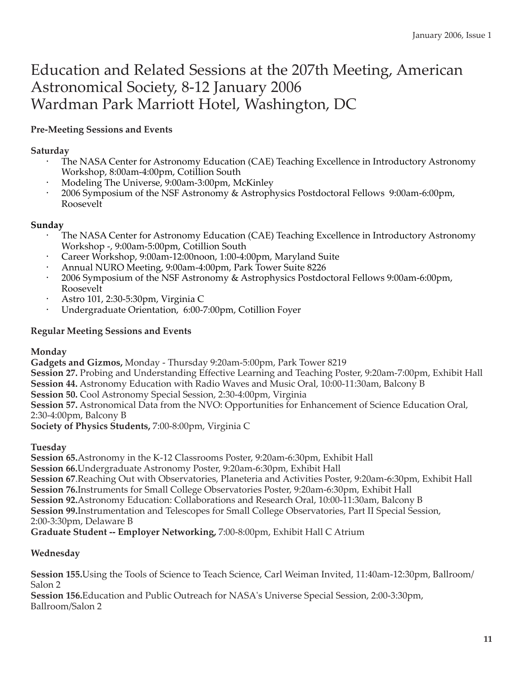### Education and Related Sessions at the 207th Meeting, American Astronomical Society, 8-12 January 2006 Wardman Park Marriott Hotel, Washington, DC

#### **Pre-Meeting Sessions and Events**

#### **Saturday**

- The NASA Center for Astronomy Education (CAE) Teaching Excellence in Introductory Astronomy Workshop, 8:00am-4:00pm, Cotillion South
- · Modeling The Universe, 9:00am-3:00pm, McKinley
- · 2006 Symposium of the NSF Astronomy & Astrophysics Postdoctoral Fellows 9:00am-6:00pm, Roosevelt

#### **Sunday**

- The NASA Center for Astronomy Education (CAE) Teaching Excellence in Introductory Astronomy Workshop -, 9:00am-5:00pm, Cotillion South
- · Career Workshop, 9:00am-12:00noon, 1:00-4:00pm, Maryland Suite
- · Annual NURO Meeting, 9:00am-4:00pm, Park Tower Suite 8226
- · 2006 Symposium of the NSF Astronomy & Astrophysics Postdoctoral Fellows 9:00am-6:00pm, Roosevelt
- · Astro 101, 2:30-5:30pm, Virginia C
- · Undergraduate Orientation, 6:00-7:00pm, Cotillion Foyer

#### **Regular Meeting Sessions and Events**

#### **Monday**

**Gadgets and Gizmos,** Monday - Thursday 9:20am-5:00pm, Park Tower 8219 **Session 27.** Probing and Understanding Effective Learning and Teaching Poster, 9:20am-7:00pm, Exhibit Hall **Session 44.** Astronomy Education with Radio Waves and Music Oral, 10:00-11:30am, Balcony B **Session 50.** Cool Astronomy Special Session, 2:30-4:00pm, Virginia **Session 57.** Astronomical Data from the NVO: Opportunities for Enhancement of Science Education Oral, 2:30-4:00pm, Balcony B

**Society of Physics Students,** 7:00-8:00pm, Virginia C

#### **Tuesday**

**Session 65.**Astronomy in the K-12 Classrooms Poster, 9:20am-6:30pm, Exhibit Hall **Session 66.**Undergraduate Astronomy Poster, 9:20am-6:30pm, Exhibit Hall **Session 67**.Reaching Out with Observatories, Planeteria and Activities Poster, 9:20am-6:30pm, Exhibit Hall **Session 76.**Instruments for Small College Observatories Poster, 9:20am-6:30pm, Exhibit Hall **Session 92.**Astronomy Education: Collaborations and Research Oral, 10:00-11:30am, Balcony B **Session 99.**Instrumentation and Telescopes for Small College Observatories, Part II Special Session, 2:00-3:30pm, Delaware B

**Graduate Student -- Employer Networking,** 7:00-8:00pm, Exhibit Hall C Atrium

#### **Wednesday**

**Session 155.**Using the Tools of Science to Teach Science, Carl Weiman Invited, 11:40am-12:30pm, Ballroom/ Salon 2

**Session 156.**Education and Public Outreach for NASA's Universe Special Session, 2:00-3:30pm, Ballroom/Salon 2